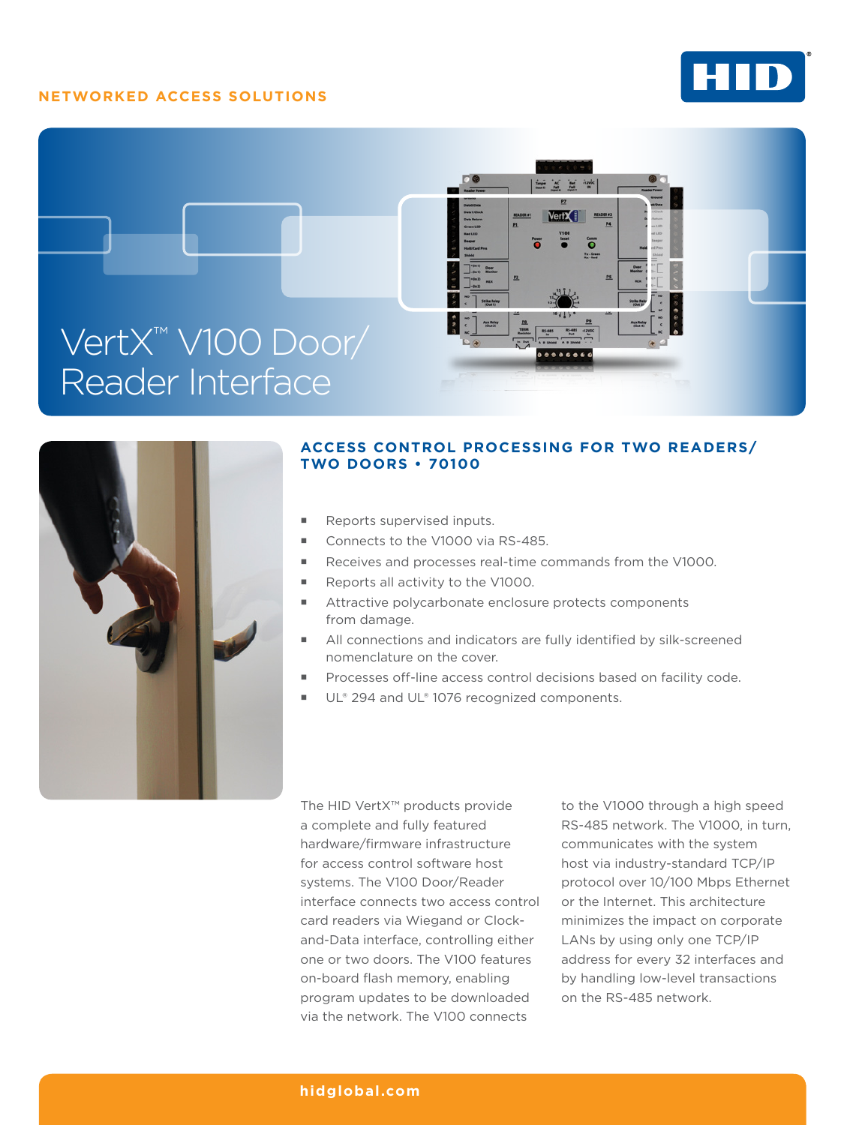# **NETWORKED ACCESS SOLUTIONS**







# **ACCESS CONTROL PROCESSING FOR TWO READERS/ TWO DOORS • 70100**

- Reports supervised inputs.
- Connects to the V1000 via RS-485.
- Receives and processes real-time commands from the V1000.
- Reports all activity to the V1000.
- Attractive polycarbonate enclosure protects components from damage.
- All connections and indicators are fully identified by silk-screened nomenclature on the cover.
- Processes off-line access control decisions based on facility code.
- UL® 294 and UL® 1076 recognized components.

The HID VertX™ products provide a complete and fully featured hardware/firmware infrastructure for access control software host systems. The V100 Door/Reader interface connects two access control card readers via Wiegand or Clockand-Data interface, controlling either one or two doors. The V100 features on-board flash memory, enabling program updates to be downloaded via the network. The V100 connects

to the V1000 through a high speed RS-485 network. The V1000, in turn, communicates with the system host via industry-standard TCP/IP protocol over 10/100 Mbps Ethernet or the Internet. This architecture minimizes the impact on corporate LANs by using only one TCP/IP address for every 32 interfaces and by handling low-level transactions on the RS-485 network.

## **[hidglobal.com](http://www.hidglobal.com)**